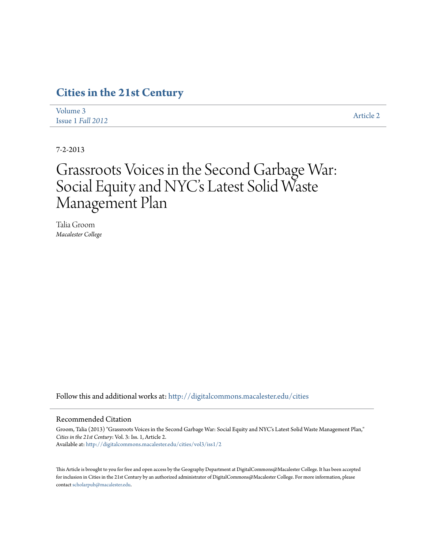# **[Cities in the 21st Century](http://digitalcommons.macalester.edu/cities?utm_source=digitalcommons.macalester.edu%2Fcities%2Fvol3%2Fiss1%2F2&utm_medium=PDF&utm_campaign=PDFCoverPages)**

| Volume 3          | Article 2 |
|-------------------|-----------|
| Issue 1 Fall 2012 |           |

7-2-2013

# Grassroots Voices in the Second Garbage War: Social Equity and NYC's Latest Solid Waste Management Plan

Talia Groom *Macalester College*

Follow this and additional works at: [http://digitalcommons.macalester.edu/cities](http://digitalcommons.macalester.edu/cities?utm_source=digitalcommons.macalester.edu%2Fcities%2Fvol3%2Fiss1%2F2&utm_medium=PDF&utm_campaign=PDFCoverPages)

#### Recommended Citation

Groom, Talia (2013) "Grassroots Voices in the Second Garbage War: Social Equity and NYC's Latest Solid Waste Management Plan," *Cities in the 21st Century*: Vol. 3: Iss. 1, Article 2. Available at: [http://digitalcommons.macalester.edu/cities/vol3/iss1/2](http://digitalcommons.macalester.edu/cities/vol3/iss1/2?utm_source=digitalcommons.macalester.edu%2Fcities%2Fvol3%2Fiss1%2F2&utm_medium=PDF&utm_campaign=PDFCoverPages)

This Article is brought to you for free and open access by the Geography Department at DigitalCommons@Macalester College. It has been accepted for inclusion in Cities in the 21st Century by an authorized administrator of DigitalCommons@Macalester College. For more information, please contact [scholarpub@macalester.edu.](mailto:scholarpub@macalester.edu)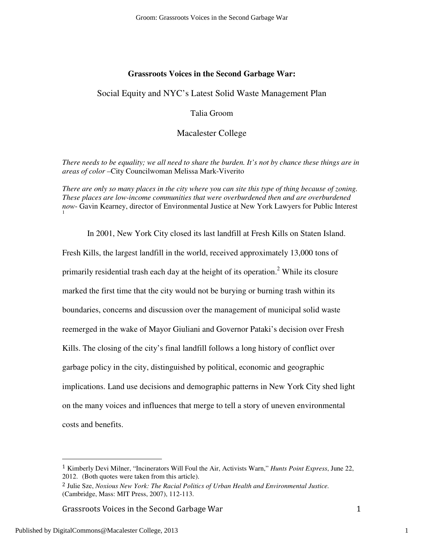# **Grassroots Voices in the Second Garbage War:**

# Social Equity and NYC's Latest Solid Waste Management Plan

# Talia Groom

# Macalester College

*There needs to be equality; we all need to share the burden. It's not by chance these things are in areas of color –*City Councilwoman Melissa Mark-Viverito

*There are only so many places in the city where you can site this type of thing because of zoning. These places are low-income communities that were overburdened then and are overburdened now*- Gavin Kearney, director of Environmental Justice at New York Lawyers for Public Interest 1

 In 2001, New York City closed its last landfill at Fresh Kills on Staten Island. Fresh Kills, the largest landfill in the world, received approximately 13,000 tons of primarily residential trash each day at the height of its operation.<sup>2</sup> While its closure marked the first time that the city would not be burying or burning trash within its boundaries, concerns and discussion over the management of municipal solid waste reemerged in the wake of Mayor Giuliani and Governor Pataki's decision over Fresh Kills. The closing of the city's final landfill follows a long history of conflict over garbage policy in the city, distinguished by political, economic and geographic implications. Land use decisions and demographic patterns in New York City shed light on the many voices and influences that merge to tell a story of uneven environmental costs and benefits.

Grassroots Voices in the Second Garbage War 1

-

<sup>1</sup> Kimberly Devi Milner, "Incinerators Will Foul the Air, Activists Warn," *Hunts Point Express*, June 22, 2012. (Both quotes were taken from this article).

<sup>2</sup> Julie Sze, *Noxious New York: The Racial Politics of Urban Health and Environmental Justice.* (Cambridge, Mass: MIT Press, 2007), 112-113.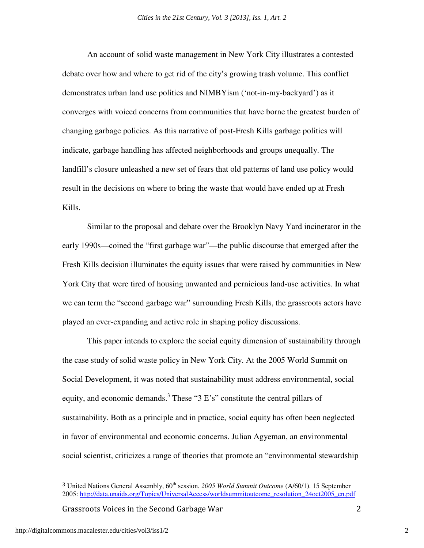An account of solid waste management in New York City illustrates a contested debate over how and where to get rid of the city's growing trash volume. This conflict demonstrates urban land use politics and NIMBYism ('not-in-my-backyard') as it converges with voiced concerns from communities that have borne the greatest burden of changing garbage policies. As this narrative of post-Fresh Kills garbage politics will indicate, garbage handling has affected neighborhoods and groups unequally. The landfill's closure unleashed a new set of fears that old patterns of land use policy would result in the decisions on where to bring the waste that would have ended up at Fresh Kills.

 Similar to the proposal and debate over the Brooklyn Navy Yard incinerator in the early 1990s—coined the "first garbage war"—the public discourse that emerged after the Fresh Kills decision illuminates the equity issues that were raised by communities in New York City that were tired of housing unwanted and pernicious land-use activities. In what we can term the "second garbage war" surrounding Fresh Kills, the grassroots actors have played an ever-expanding and active role in shaping policy discussions.

 This paper intends to explore the social equity dimension of sustainability through the case study of solid waste policy in New York City. At the 2005 World Summit on Social Development, it was noted that sustainability must address environmental, social equity, and economic demands.<sup>3</sup> These "3 E's" constitute the central pillars of sustainability. Both as a principle and in practice, social equity has often been neglected in favor of environmental and economic concerns. Julian Agyeman, an environmental social scientist, criticizes a range of theories that promote an "environmental stewardship

Grassroots Voices in the Second Garbage War 2

 $\overline{a}$ 

<sup>&</sup>lt;sup>3</sup> United Nations General Assembly, 60<sup>th</sup> session. *2005 World Summit Outcome* (A/60/1). 15 September 2005: http://data.unaids.org/Topics/UniversalAccess/worldsummitoutcome\_resolution\_24oct2005\_en.pdf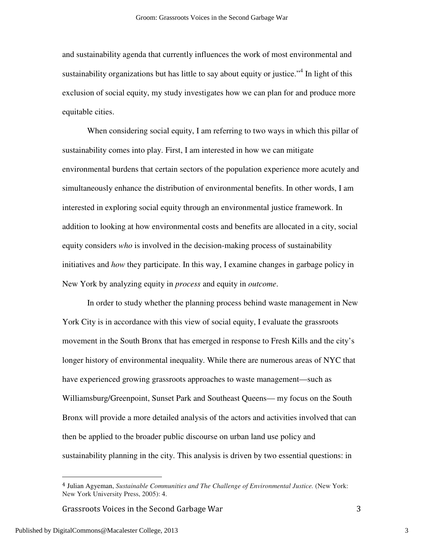and sustainability agenda that currently influences the work of most environmental and sustainability organizations but has little to say about equity or justice."<sup>4</sup> In light of this exclusion of social equity, my study investigates how we can plan for and produce more equitable cities.

When considering social equity, I am referring to two ways in which this pillar of sustainability comes into play. First, I am interested in how we can mitigate environmental burdens that certain sectors of the population experience more acutely and simultaneously enhance the distribution of environmental benefits. In other words, I am interested in exploring social equity through an environmental justice framework. In addition to looking at how environmental costs and benefits are allocated in a city, social equity considers *who* is involved in the decision-making process of sustainability initiatives and *how* they participate. In this way, I examine changes in garbage policy in New York by analyzing equity in *process* and equity in *outcome*.

 In order to study whether the planning process behind waste management in New York City is in accordance with this view of social equity, I evaluate the grassroots movement in the South Bronx that has emerged in response to Fresh Kills and the city's longer history of environmental inequality. While there are numerous areas of NYC that have experienced growing grassroots approaches to waste management—such as Williamsburg/Greenpoint, Sunset Park and Southeast Queens— my focus on the South Bronx will provide a more detailed analysis of the actors and activities involved that can then be applied to the broader public discourse on urban land use policy and sustainability planning in the city. This analysis is driven by two essential questions: in

Grassroots Voices in the Second Garbage War 3

Published by DigitalCommons@Macalester College, 2013

<sup>4</sup> Julian Agyeman, *Sustainable Communities and The Challenge of Environmental Justice.* (New York: New York University Press, 2005): 4.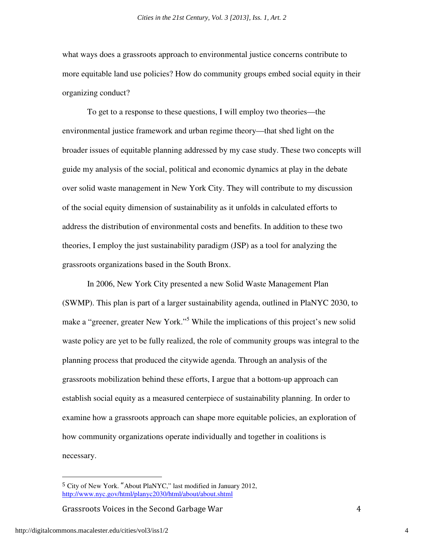what ways does a grassroots approach to environmental justice concerns contribute to more equitable land use policies? How do community groups embed social equity in their organizing conduct?

To get to a response to these questions, I will employ two theories—the environmental justice framework and urban regime theory—that shed light on the broader issues of equitable planning addressed by my case study. These two concepts will guide my analysis of the social, political and economic dynamics at play in the debate over solid waste management in New York City. They will contribute to my discussion of the social equity dimension of sustainability as it unfolds in calculated efforts to address the distribution of environmental costs and benefits. In addition to these two theories, I employ the just sustainability paradigm (JSP) as a tool for analyzing the grassroots organizations based in the South Bronx.

 In 2006, New York City presented a new Solid Waste Management Plan (SWMP). This plan is part of a larger sustainability agenda, outlined in PlaNYC 2030, to make a "greener, greater New York."<sup>5</sup> While the implications of this project's new solid waste policy are yet to be fully realized, the role of community groups was integral to the planning process that produced the citywide agenda. Through an analysis of the grassroots mobilization behind these efforts, I argue that a bottom-up approach can establish social equity as a measured centerpiece of sustainability planning. In order to examine how a grassroots approach can shape more equitable policies, an exploration of how community organizations operate individually and together in coalitions is necessary.

Grassroots Voices in the Second Garbage War 4

http://digitalcommons.macalester.edu/cities/vol3/iss1/2

 $\overline{a}$ 

<sup>5</sup> City of New York. "About PlaNYC," last modified in January 2012, http://www.nyc.gov/html/planyc2030/html/about/about.shtml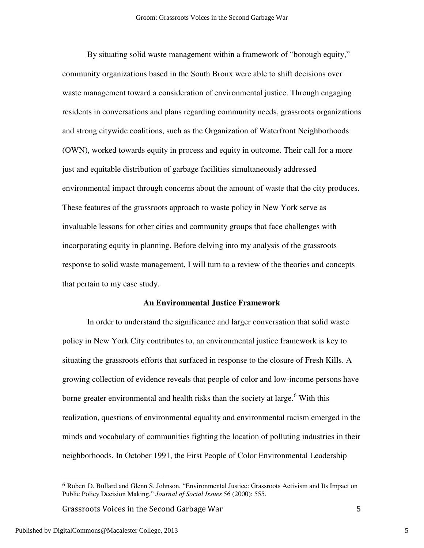By situating solid waste management within a framework of "borough equity," community organizations based in the South Bronx were able to shift decisions over waste management toward a consideration of environmental justice. Through engaging residents in conversations and plans regarding community needs, grassroots organizations and strong citywide coalitions, such as the Organization of Waterfront Neighborhoods (OWN), worked towards equity in process and equity in outcome. Their call for a more just and equitable distribution of garbage facilities simultaneously addressed environmental impact through concerns about the amount of waste that the city produces. These features of the grassroots approach to waste policy in New York serve as invaluable lessons for other cities and community groups that face challenges with incorporating equity in planning. Before delving into my analysis of the grassroots response to solid waste management, I will turn to a review of the theories and concepts that pertain to my case study.

#### **An Environmental Justice Framework**

 In order to understand the significance and larger conversation that solid waste policy in New York City contributes to, an environmental justice framework is key to situating the grassroots efforts that surfaced in response to the closure of Fresh Kills. A growing collection of evidence reveals that people of color and low-income persons have borne greater environmental and health risks than the society at large.<sup>6</sup> With this realization, questions of environmental equality and environmental racism emerged in the minds and vocabulary of communities fighting the location of polluting industries in their neighborhoods. In October 1991, the First People of Color Environmental Leadership

Grassroots Voices in the Second Garbage War 5

 $\overline{a}$ 

<sup>6</sup> Robert D. Bullard and Glenn S. Johnson, "Environmental Justice: Grassroots Activism and Its Impact on Public Policy Decision Making," *Journal of Social Issues* 56 (2000): 555.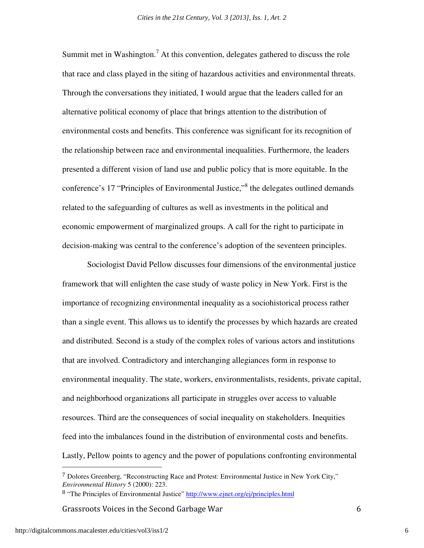Summit met in Washington.<sup>7</sup> At this convention, delegates gathered to discuss the role that race and class played in the siting of hazardous activities and environmental threats. Through the conversations they initiated, I would argue that the leaders called for an alternative political economy of place that brings attention to the distribution of environmental costs and benefits. This conference was significant for its recognition of the relationship between race and environmental inequalities. Furthermore, the leaders presented a different vision of land use and public policy that is more equitable. In the conference's 17 "Principles of Environmental Justice,"<sup>8</sup> the delegates outlined demands related to the safeguarding of cultures as well as investments in the political and economic empowerment of marginalized groups. A call for the right to participate in decision-making was central to the conference's adoption of the seventeen principles.

Sociologist David Pellow discusses four dimensions of the environmental justice framework that will enlighten the case study of waste policy in New York. First is the importance of recognizing environmental inequality as a sociohistorical process rather than a single event. This allows us to identify the processes by which hazards are created and distributed. Second is a study of the complex roles of various actors and institutions that are involved. Contradictory and interchanging allegiances form in response to environmental inequality. The state, workers, environmentalists, residents, private capital, and neighborhood organizations all participate in struggles over access to valuable resources. Third are the consequences of social inequality on stakeholders. Inequities feed into the imbalances found in the distribution of environmental costs and benefits. Lastly, Pellow points to agency and the power of populations confronting environmental

Grassroots Voices in the Second Garbage War 6

<sup>7</sup> Dolores Greenberg, "Reconstructing Race and Protest: Environmental Justice in New York City," *Environmental History* 5 (2000): 223.

<sup>8</sup> "The Principles of Environmental Justice" http://www.ejnet.org/ej/principles.html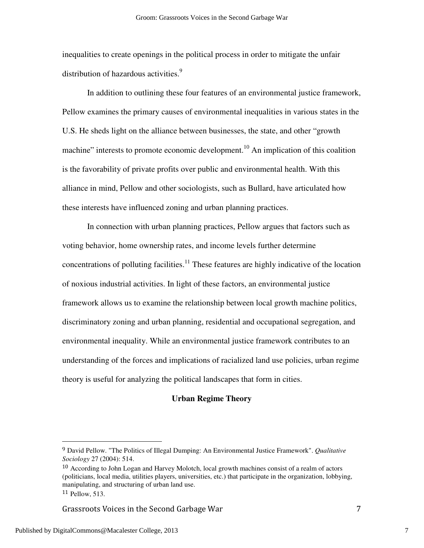inequalities to create openings in the political process in order to mitigate the unfair distribution of hazardous activities.<sup>9</sup>

In addition to outlining these four features of an environmental justice framework, Pellow examines the primary causes of environmental inequalities in various states in the U.S. He sheds light on the alliance between businesses, the state, and other "growth machine" interests to promote economic development.<sup>10</sup> An implication of this coalition is the favorability of private profits over public and environmental health. With this alliance in mind, Pellow and other sociologists, such as Bullard, have articulated how these interests have influenced zoning and urban planning practices.

In connection with urban planning practices, Pellow argues that factors such as voting behavior, home ownership rates, and income levels further determine concentrations of polluting facilities.<sup>11</sup> These features are highly indicative of the location of noxious industrial activities. In light of these factors, an environmental justice framework allows us to examine the relationship between local growth machine politics, discriminatory zoning and urban planning, residential and occupational segregation, and environmental inequality. While an environmental justice framework contributes to an understanding of the forces and implications of racialized land use policies, urban regime theory is useful for analyzing the political landscapes that form in cities.

# **Urban Regime Theory**

Grassroots Voices in the Second Garbage War 7

<sup>9</sup> David Pellow. "The Politics of Illegal Dumping: An Environmental Justice Framework". *Qualitative Sociology* 27 (2004): 514.

<sup>&</sup>lt;sup>10</sup> According to John Logan and Harvey Molotch, local growth machines consist of a realm of actors (politicians, local media, utilities players, universities, etc.) that participate in the organization, lobbying, manipulating, and structuring of urban land use. <sup>11</sup> Pellow, 513.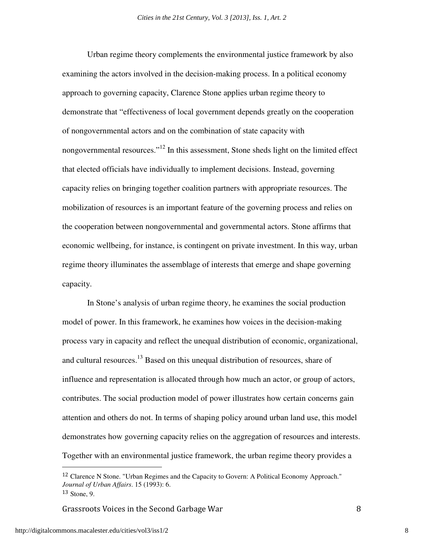Urban regime theory complements the environmental justice framework by also examining the actors involved in the decision-making process. In a political economy approach to governing capacity, Clarence Stone applies urban regime theory to demonstrate that "effectiveness of local government depends greatly on the cooperation of nongovernmental actors and on the combination of state capacity with nongovernmental resources."<sup>12</sup> In this assessment, Stone sheds light on the limited effect that elected officials have individually to implement decisions. Instead, governing capacity relies on bringing together coalition partners with appropriate resources. The mobilization of resources is an important feature of the governing process and relies on the cooperation between nongovernmental and governmental actors. Stone affirms that economic wellbeing, for instance, is contingent on private investment. In this way, urban regime theory illuminates the assemblage of interests that emerge and shape governing capacity.

In Stone's analysis of urban regime theory, he examines the social production model of power. In this framework, he examines how voices in the decision-making process vary in capacity and reflect the unequal distribution of economic, organizational, and cultural resources.<sup>13</sup> Based on this unequal distribution of resources, share of influence and representation is allocated through how much an actor, or group of actors, contributes. The social production model of power illustrates how certain concerns gain attention and others do not. In terms of shaping policy around urban land use, this model demonstrates how governing capacity relies on the aggregation of resources and interests. Together with an environmental justice framework, the urban regime theory provides a

Grassroots Voices in the Second Garbage War 8

 $\overline{a}$ 

<sup>&</sup>lt;sup>12</sup> Clarence N Stone. "Urban Regimes and the Capacity to Govern: A Political Economy Approach." *Journal of Urban Affairs*. 15 (1993): 6. <sup>13</sup> Stone, 9.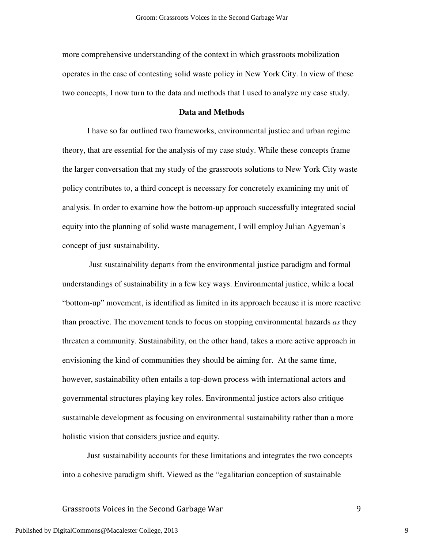more comprehensive understanding of the context in which grassroots mobilization operates in the case of contesting solid waste policy in New York City. In view of these two concepts, I now turn to the data and methods that I used to analyze my case study.

## **Data and Methods**

 I have so far outlined two frameworks, environmental justice and urban regime theory, that are essential for the analysis of my case study. While these concepts frame the larger conversation that my study of the grassroots solutions to New York City waste policy contributes to, a third concept is necessary for concretely examining my unit of analysis. In order to examine how the bottom-up approach successfully integrated social equity into the planning of solid waste management, I will employ Julian Agyeman's concept of just sustainability.

 Just sustainability departs from the environmental justice paradigm and formal understandings of sustainability in a few key ways. Environmental justice, while a local "bottom-up" movement, is identified as limited in its approach because it is more reactive than proactive. The movement tends to focus on stopping environmental hazards *as* they threaten a community. Sustainability, on the other hand, takes a more active approach in envisioning the kind of communities they should be aiming for. At the same time, however, sustainability often entails a top-down process with international actors and governmental structures playing key roles. Environmental justice actors also critique sustainable development as focusing on environmental sustainability rather than a more holistic vision that considers justice and equity.

Just sustainability accounts for these limitations and integrates the two concepts into a cohesive paradigm shift. Viewed as the "egalitarian conception of sustainable

# Grassroots Voices in the Second Garbage War 9

Published by DigitalCommons@Macalester College, 2013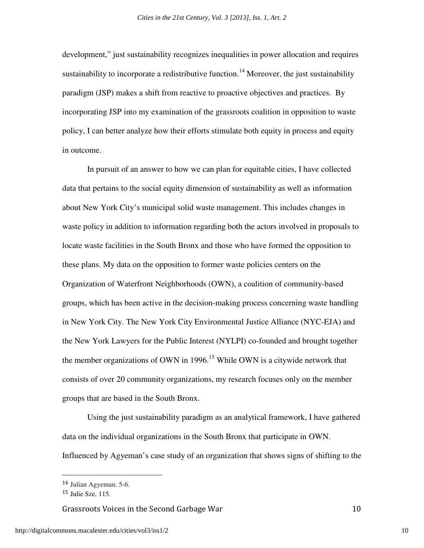development," just sustainability recognizes inequalities in power allocation and requires sustainability to incorporate a redistributive function.<sup>14</sup> Moreover, the just sustainability paradigm (JSP) makes a shift from reactive to proactive objectives and practices. By incorporating JSP into my examination of the grassroots coalition in opposition to waste policy, I can better analyze how their efforts stimulate both equity in process and equity in outcome.

 In pursuit of an answer to how we can plan for equitable cities, I have collected data that pertains to the social equity dimension of sustainability as well as information about New York City's municipal solid waste management. This includes changes in waste policy in addition to information regarding both the actors involved in proposals to locate waste facilities in the South Bronx and those who have formed the opposition to these plans. My data on the opposition to former waste policies centers on the Organization of Waterfront Neighborhoods (OWN), a coalition of community-based groups, which has been active in the decision-making process concerning waste handling in New York City. The New York City Environmental Justice Alliance (NYC-EJA) and the New York Lawyers for the Public Interest (NYLPI) co-founded and brought together the member organizations of OWN in 1996.<sup>15</sup> While OWN is a citywide network that consists of over 20 community organizations, my research focuses only on the member groups that are based in the South Bronx.

 Using the just sustainability paradigm as an analytical framework, I have gathered data on the individual organizations in the South Bronx that participate in OWN. Influenced by Agyeman's case study of an organization that shows signs of shifting to the

 $\overline{a}$ 

Grassroots Voices in the Second Garbage War 10

<sup>14</sup> Julian Agyeman. 5-6.

<sup>15</sup> Julie Sze, 115.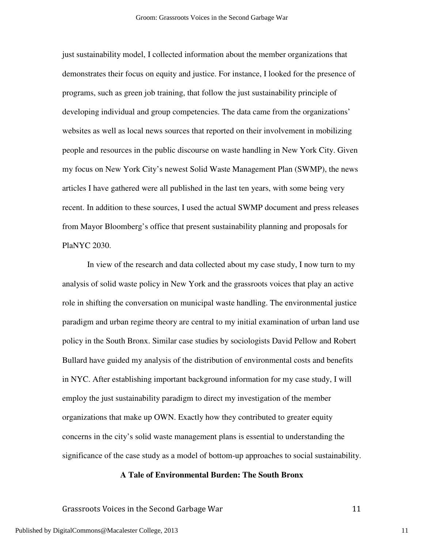just sustainability model, I collected information about the member organizations that demonstrates their focus on equity and justice. For instance, I looked for the presence of programs, such as green job training, that follow the just sustainability principle of developing individual and group competencies. The data came from the organizations' websites as well as local news sources that reported on their involvement in mobilizing people and resources in the public discourse on waste handling in New York City. Given my focus on New York City's newest Solid Waste Management Plan (SWMP), the news articles I have gathered were all published in the last ten years, with some being very recent. In addition to these sources, I used the actual SWMP document and press releases from Mayor Bloomberg's office that present sustainability planning and proposals for PlaNYC 2030.

 In view of the research and data collected about my case study, I now turn to my analysis of solid waste policy in New York and the grassroots voices that play an active role in shifting the conversation on municipal waste handling. The environmental justice paradigm and urban regime theory are central to my initial examination of urban land use policy in the South Bronx. Similar case studies by sociologists David Pellow and Robert Bullard have guided my analysis of the distribution of environmental costs and benefits in NYC. After establishing important background information for my case study, I will employ the just sustainability paradigm to direct my investigation of the member organizations that make up OWN. Exactly how they contributed to greater equity concerns in the city's solid waste management plans is essential to understanding the significance of the case study as a model of bottom-up approaches to social sustainability.

#### **A Tale of Environmental Burden: The South Bronx**

Grassroots Voices in the Second Garbage War 11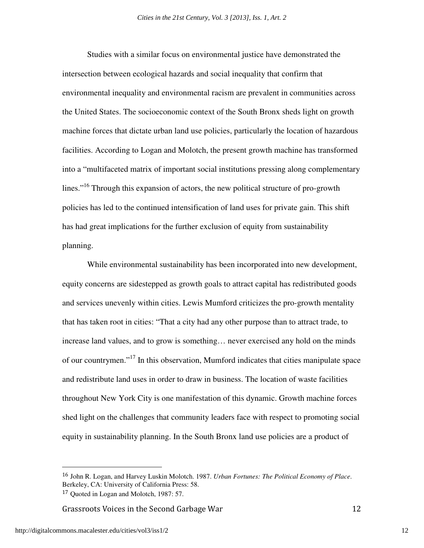Studies with a similar focus on environmental justice have demonstrated the intersection between ecological hazards and social inequality that confirm that environmental inequality and environmental racism are prevalent in communities across the United States. The socioeconomic context of the South Bronx sheds light on growth machine forces that dictate urban land use policies, particularly the location of hazardous facilities. According to Logan and Molotch, the present growth machine has transformed into a "multifaceted matrix of important social institutions pressing along complementary lines."<sup>16</sup> Through this expansion of actors, the new political structure of pro-growth policies has led to the continued intensification of land uses for private gain. This shift has had great implications for the further exclusion of equity from sustainability planning.

While environmental sustainability has been incorporated into new development, equity concerns are sidestepped as growth goals to attract capital has redistributed goods and services unevenly within cities. Lewis Mumford criticizes the pro-growth mentality that has taken root in cities: "That a city had any other purpose than to attract trade, to increase land values, and to grow is something… never exercised any hold on the minds of our countrymen."<sup>17</sup> In this observation, Mumford indicates that cities manipulate space and redistribute land uses in order to draw in business. The location of waste facilities throughout New York City is one manifestation of this dynamic. Growth machine forces shed light on the challenges that community leaders face with respect to promoting social equity in sustainability planning. In the South Bronx land use policies are a product of

Grassroots Voices in the Second Garbage War 12

<u>.</u>

<sup>16</sup> John R. Logan, and Harvey Luskin Molotch. 1987. *Urban Fortunes: The Political Economy of Place*. Berkeley, CA: University of California Press: 58.

<sup>17</sup> Quoted in Logan and Molotch, 1987: 57.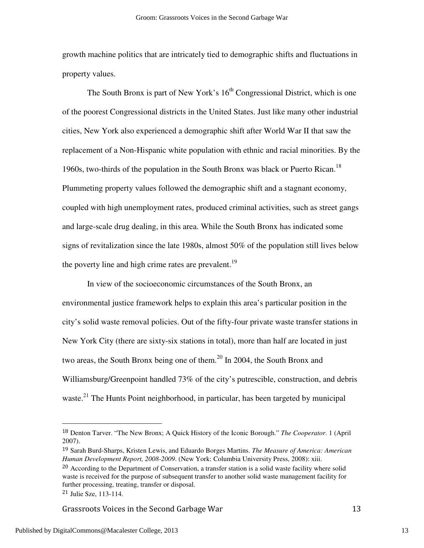growth machine politics that are intricately tied to demographic shifts and fluctuations in property values.

The South Bronx is part of New York's  $16<sup>th</sup>$  Congressional District, which is one of the poorest Congressional districts in the United States. Just like many other industrial cities, New York also experienced a demographic shift after World War II that saw the replacement of a Non-Hispanic white population with ethnic and racial minorities. By the 1960s, two-thirds of the population in the South Bronx was black or Puerto Rican.<sup>18</sup> Plummeting property values followed the demographic shift and a stagnant economy, coupled with high unemployment rates, produced criminal activities, such as street gangs and large-scale drug dealing, in this area. While the South Bronx has indicated some signs of revitalization since the late 1980s, almost 50% of the population still lives below the poverty line and high crime rates are prevalent.<sup>19</sup>

 In view of the socioeconomic circumstances of the South Bronx, an environmental justice framework helps to explain this area's particular position in the city's solid waste removal policies. Out of the fifty-four private waste transfer stations in New York City (there are sixty-six stations in total), more than half are located in just two areas, the South Bronx being one of them.<sup>20</sup> In 2004, the South Bronx and Williamsburg/Greenpoint handled 73% of the city's putrescible, construction, and debris waste.<sup>21</sup> The Hunts Point neighborhood, in particular, has been targeted by municipal

<u>.</u>

Grassroots Voices in the Second Garbage War 13

<sup>18</sup> Denton Tarver. "The New Bronx; A Quick History of the Iconic Borough." *The Cooperator*. 1 (April 2007).

<sup>19</sup> Sarah Burd-Sharps, Kristen Lewis, and Eduardo Borges Martins. *The Measure of America: American Human Development Report, 2008-2009*. (New York: Columbia University Press, 2008): xiii.

<sup>&</sup>lt;sup>20</sup> According to the Department of Conservation, a transfer station is a solid waste facility where solid waste is received for the purpose of subsequent transfer to another solid waste management facility for further processing, treating, transfer or disposal.

<sup>21</sup> Julie Sze, 113-114.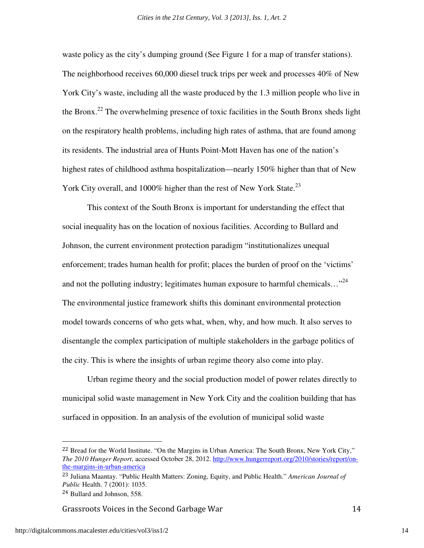waste policy as the city's dumping ground (See Figure 1 for a map of transfer stations). The neighborhood receives 60,000 diesel truck trips per week and processes 40% of New York City's waste, including all the waste produced by the 1.3 million people who live in the Bronx.<sup>22</sup> The overwhelming presence of toxic facilities in the South Bronx sheds light on the respiratory health problems, including high rates of asthma, that are found among its residents. The industrial area of Hunts Point-Mott Haven has one of the nation's highest rates of childhood asthma hospitalization—nearly 150% higher than that of New York City overall, and 1000% higher than the rest of New York State.<sup>23</sup>

This context of the South Bronx is important for understanding the effect that social inequality has on the location of noxious facilities. According to Bullard and Johnson, the current environment protection paradigm "institutionalizes unequal enforcement; trades human health for profit; places the burden of proof on the 'victims' and not the polluting industry; legitimates human exposure to harmful chemicals..."<sup>24</sup> The environmental justice framework shifts this dominant environmental protection model towards concerns of who gets what, when, why, and how much. It also serves to disentangle the complex participation of multiple stakeholders in the garbage politics of the city. This is where the insights of urban regime theory also come into play.

Urban regime theory and the social production model of power relates directly to municipal solid waste management in New York City and the coalition building that has surfaced in opposition. In an analysis of the evolution of municipal solid waste

Grassroots Voices in the Second Garbage War 14

 $\overline{a}$ 

<sup>22</sup> Bread for the World Institute. "On the Margins in Urban America: The South Bronx, New York City," *The 2010 Hunger Report*, accessed October 28, 2012. http://www.hungerreport.org/2010/stories/report/onthe-margins-in-urban-america

<sup>23</sup> Juliana Maantay. "Public Health Matters: Zoning, Equity, and Public Health." *American Journal of Public* Health. 7 (2001): 1035.

<sup>24</sup> Bullard and Johnson, 558.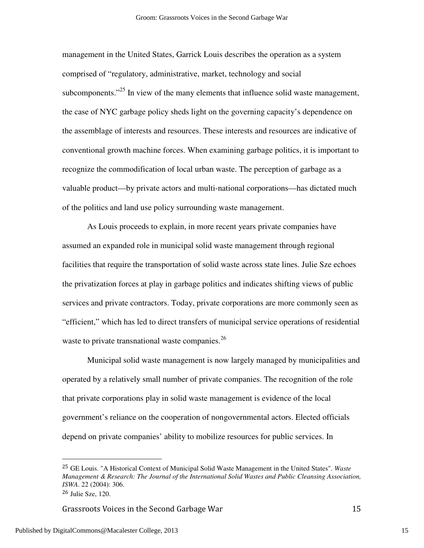management in the United States, Garrick Louis describes the operation as a system comprised of "regulatory, administrative, market, technology and social subcomponents."<sup>25</sup> In view of the many elements that influence solid waste management, the case of NYC garbage policy sheds light on the governing capacity's dependence on the assemblage of interests and resources. These interests and resources are indicative of conventional growth machine forces. When examining garbage politics, it is important to recognize the commodification of local urban waste. The perception of garbage as a valuable product—by private actors and multi-national corporations—has dictated much of the politics and land use policy surrounding waste management.

As Louis proceeds to explain, in more recent years private companies have assumed an expanded role in municipal solid waste management through regional facilities that require the transportation of solid waste across state lines. Julie Sze echoes the privatization forces at play in garbage politics and indicates shifting views of public services and private contractors. Today, private corporations are more commonly seen as "efficient," which has led to direct transfers of municipal service operations of residential waste to private transnational waste companies.<sup>26</sup>

Municipal solid waste management is now largely managed by municipalities and operated by a relatively small number of private companies. The recognition of the role that private corporations play in solid waste management is evidence of the local government's reliance on the cooperation of nongovernmental actors. Elected officials depend on private companies' ability to mobilize resources for public services. In

<sup>25</sup> GE Louis. "A Historical Context of Municipal Solid Waste Management in the United States". *Waste Management & Research: The Journal of the International Solid Wastes and Public Cleansing Association, ISWA*. 22 (2004): 306. <sup>26</sup> Julie Sze, 120.

Grassroots Voices in the Second Garbage War 15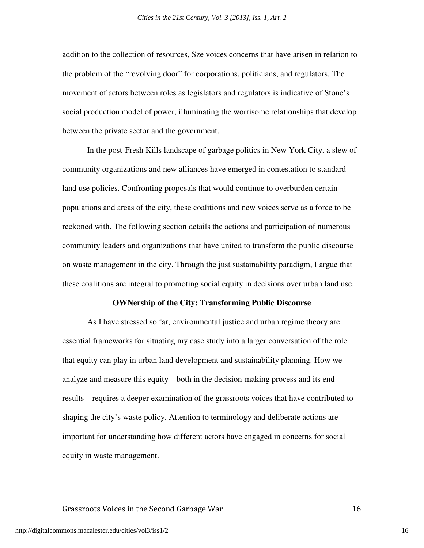addition to the collection of resources, Sze voices concerns that have arisen in relation to the problem of the "revolving door" for corporations, politicians, and regulators. The movement of actors between roles as legislators and regulators is indicative of Stone's social production model of power, illuminating the worrisome relationships that develop between the private sector and the government.

 In the post-Fresh Kills landscape of garbage politics in New York City, a slew of community organizations and new alliances have emerged in contestation to standard land use policies. Confronting proposals that would continue to overburden certain populations and areas of the city, these coalitions and new voices serve as a force to be reckoned with. The following section details the actions and participation of numerous community leaders and organizations that have united to transform the public discourse on waste management in the city. Through the just sustainability paradigm, I argue that these coalitions are integral to promoting social equity in decisions over urban land use.

#### **OWNership of the City: Transforming Public Discourse**

As I have stressed so far, environmental justice and urban regime theory are essential frameworks for situating my case study into a larger conversation of the role that equity can play in urban land development and sustainability planning. How we analyze and measure this equity—both in the decision-making process and its end results—requires a deeper examination of the grassroots voices that have contributed to shaping the city's waste policy. Attention to terminology and deliberate actions are important for understanding how different actors have engaged in concerns for social equity in waste management.

#### Grassroots Voices in the Second Garbage War 16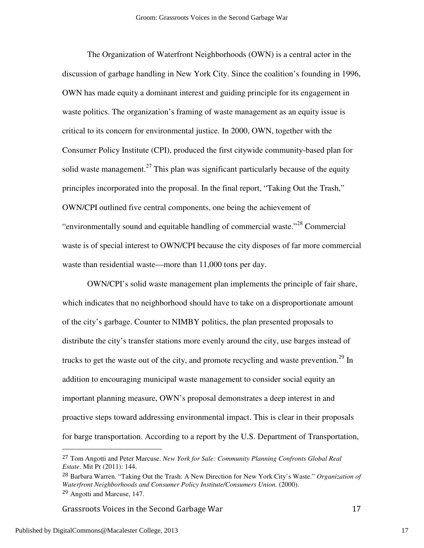The Organization of Waterfront Neighborhoods (OWN) is a central actor in the discussion of garbage handling in New York City. Since the coalition's founding in 1996, OWN has made equity a dominant interest and guiding principle for its engagement in waste politics. The organization's framing of waste management as an equity issue is critical to its concern for environmental justice. In 2000, OWN, together with the Consumer Policy Institute (CPI), produced the first citywide community-based plan for solid waste management.<sup>27</sup> This plan was significant particularly because of the equity principles incorporated into the proposal. In the final report, "Taking Out the Trash," OWN/CPI outlined five central components, one being the achievement of "environmentally sound and equitable handling of commercial waste."<sup>28</sup> Commercial waste is of special interest to OWN/CPI because the city disposes of far more commercial waste than residential waste—more than 11,000 tons per day.

 OWN/CPI's solid waste management plan implements the principle of fair share, which indicates that no neighborhood should have to take on a disproportionate amount of the city's garbage. Counter to NIMBY politics, the plan presented proposals to distribute the city's transfer stations more evenly around the city, use barges instead of trucks to get the waste out of the city, and promote recycling and waste prevention.<sup>29</sup> In addition to encouraging municipal waste management to consider social equity an important planning measure, OWN's proposal demonstrates a deep interest in and proactive steps toward addressing environmental impact. This is clear in their proposals for barge transportation. According to a report by the U.S. Department of Transportation,

Grassroots Voices in the Second Garbage War 17

<sup>27</sup> Tom Angotti and Peter Marcuse. *New York for Sale: Community Planning Confronts Global Real Estate*. Mit Pr (2011): 144.

<sup>28</sup> Barbara Warren. "Taking Out the Trash: A New Direction for New York City's Waste." *Organization of Waterfront Neighborhoods and Consumer Policy Institute/Consumers Union.* (2000). <sup>29</sup> Angotti and Marcuse, 147.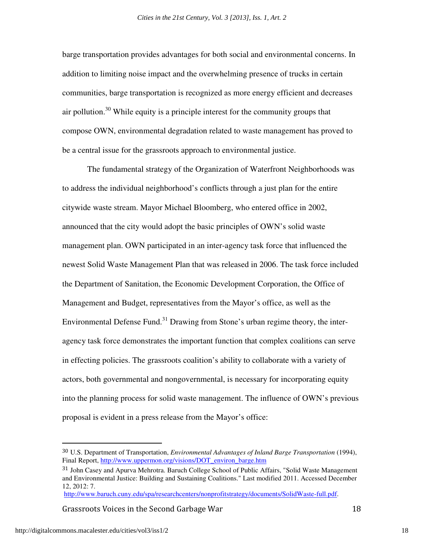barge transportation provides advantages for both social and environmental concerns. In addition to limiting noise impact and the overwhelming presence of trucks in certain communities, barge transportation is recognized as more energy efficient and decreases air pollution.<sup>30</sup> While equity is a principle interest for the community groups that compose OWN, environmental degradation related to waste management has proved to be a central issue for the grassroots approach to environmental justice.

 The fundamental strategy of the Organization of Waterfront Neighborhoods was to address the individual neighborhood's conflicts through a just plan for the entire citywide waste stream. Mayor Michael Bloomberg, who entered office in 2002, announced that the city would adopt the basic principles of OWN's solid waste management plan. OWN participated in an inter-agency task force that influenced the newest Solid Waste Management Plan that was released in 2006. The task force included the Department of Sanitation, the Economic Development Corporation, the Office of Management and Budget, representatives from the Mayor's office, as well as the Environmental Defense Fund.<sup>31</sup> Drawing from Stone's urban regime theory, the interagency task force demonstrates the important function that complex coalitions can serve in effecting policies. The grassroots coalition's ability to collaborate with a variety of actors, both governmental and nongovernmental, is necessary for incorporating equity into the planning process for solid waste management. The influence of OWN's previous proposal is evident in a press release from the Mayor's office:

Grassroots Voices in the Second Garbage War 18

<u>.</u>

<sup>30</sup> U.S. Department of Transportation, *Environmental Advantages of Inland Barge Transportation* (1994), Final Report, http://www.uppermon.org/visions/DOT\_environ\_barge.htm

<sup>&</sup>lt;sup>31</sup> John Casey and Apurva Mehrotra. Baruch College School of Public Affairs, "Solid Waste Management and Environmental Justice: Building and Sustaining Coalitions." Last modified 2011. Accessed December 12, 2012: 7.

http://www.baruch.cuny.edu/spa/researchcenters/nonprofitstrategy/documents/SolidWaste-full.pdf.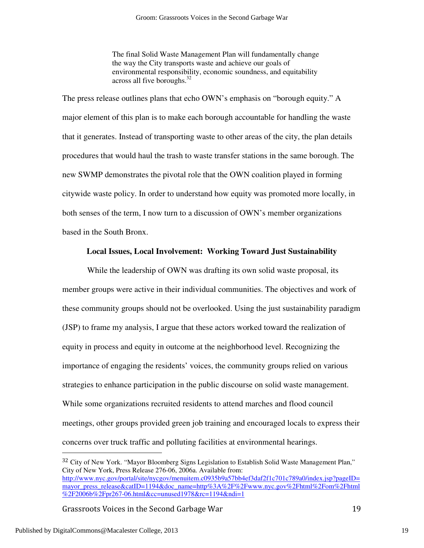The final Solid Waste Management Plan will fundamentally change the way the City transports waste and achieve our goals of environmental responsibility, economic soundness, and equitability across all five boroughs.<sup>32</sup>

The press release outlines plans that echo OWN's emphasis on "borough equity." A major element of this plan is to make each borough accountable for handling the waste that it generates. Instead of transporting waste to other areas of the city, the plan details procedures that would haul the trash to waste transfer stations in the same borough. The new SWMP demonstrates the pivotal role that the OWN coalition played in forming citywide waste policy. In order to understand how equity was promoted more locally, in both senses of the term, I now turn to a discussion of OWN's member organizations based in the South Bronx.

# **Local Issues, Local Involvement: Working Toward Just Sustainability**

While the leadership of OWN was drafting its own solid waste proposal, its member groups were active in their individual communities. The objectives and work of these community groups should not be overlooked. Using the just sustainability paradigm (JSP) to frame my analysis, I argue that these actors worked toward the realization of equity in process and equity in outcome at the neighborhood level. Recognizing the importance of engaging the residents' voices, the community groups relied on various strategies to enhance participation in the public discourse on solid waste management. While some organizations recruited residents to attend marches and flood council meetings, other groups provided green job training and encouraged locals to express their concerns over truck traffic and polluting facilities at environmental hearings.

Grassroots Voices in the Second Garbage War 19

<sup>&</sup>lt;sup>32</sup> City of New York. "Mayor Bloomberg Signs Legislation to Establish Solid Waste Management Plan," City of New York, Press Release 276-06, 2006a. Available from: http://www.nyc.gov/portal/site/nycgov/menuitem.c0935b9a57bb4ef3daf2f1c701c789a0/index.jsp?pageID= mayor\_press\_release&catID=1194&doc\_name=http%3A%2F%2Fwww.nyc.gov%2Fhtml%2Fom%2Fhtml %2F2006b%2Fpr267-06.html&cc=unused1978&rc=1194&ndi=1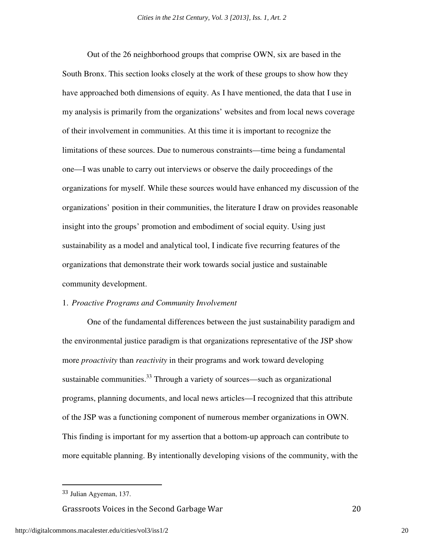Out of the 26 neighborhood groups that comprise OWN, six are based in the South Bronx. This section looks closely at the work of these groups to show how they have approached both dimensions of equity. As I have mentioned, the data that I use in my analysis is primarily from the organizations' websites and from local news coverage of their involvement in communities. At this time it is important to recognize the limitations of these sources. Due to numerous constraints—time being a fundamental one—I was unable to carry out interviews or observe the daily proceedings of the organizations for myself. While these sources would have enhanced my discussion of the organizations' position in their communities, the literature I draw on provides reasonable insight into the groups' promotion and embodiment of social equity. Using just sustainability as a model and analytical tool, I indicate five recurring features of the organizations that demonstrate their work towards social justice and sustainable community development.

#### 1. *Proactive Programs and Community Involvement*

One of the fundamental differences between the just sustainability paradigm and the environmental justice paradigm is that organizations representative of the JSP show more *proactivity* than *reactivity* in their programs and work toward developing sustainable communities. $33$  Through a variety of sources—such as organizational programs, planning documents, and local news articles—I recognized that this attribute of the JSP was a functioning component of numerous member organizations in OWN. This finding is important for my assertion that a bottom-up approach can contribute to more equitable planning. By intentionally developing visions of the community, with the

 $\overline{a}$ 

Grassroots Voices in the Second Garbage War 20

<sup>33</sup> Julian Agyeman, 137.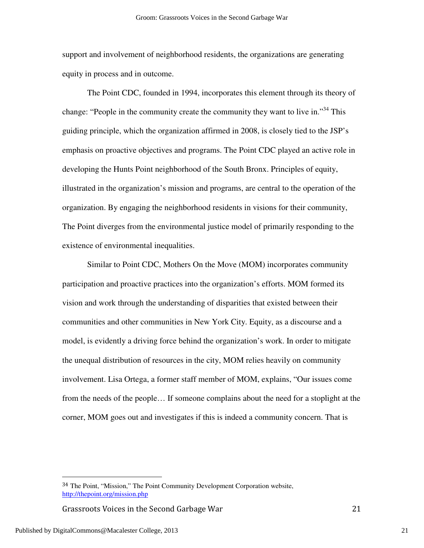support and involvement of neighborhood residents, the organizations are generating equity in process and in outcome.

The Point CDC, founded in 1994, incorporates this element through its theory of change: "People in the community create the community they want to live in."<sup>34</sup> This guiding principle, which the organization affirmed in 2008, is closely tied to the JSP's emphasis on proactive objectives and programs. The Point CDC played an active role in developing the Hunts Point neighborhood of the South Bronx. Principles of equity, illustrated in the organization's mission and programs, are central to the operation of the organization. By engaging the neighborhood residents in visions for their community, The Point diverges from the environmental justice model of primarily responding to the existence of environmental inequalities.

Similar to Point CDC, Mothers On the Move (MOM) incorporates community participation and proactive practices into the organization's efforts. MOM formed its vision and work through the understanding of disparities that existed between their communities and other communities in New York City. Equity, as a discourse and a model, is evidently a driving force behind the organization's work. In order to mitigate the unequal distribution of resources in the city, MOM relies heavily on community involvement. Lisa Ortega, a former staff member of MOM, explains, "Our issues come from the needs of the people… If someone complains about the need for a stoplight at the corner, MOM goes out and investigates if this is indeed a community concern. That is

Grassroots Voices in the Second Garbage War 21

<sup>34</sup> The Point, "Mission," The Point Community Development Corporation website, http://thepoint.org/mission.php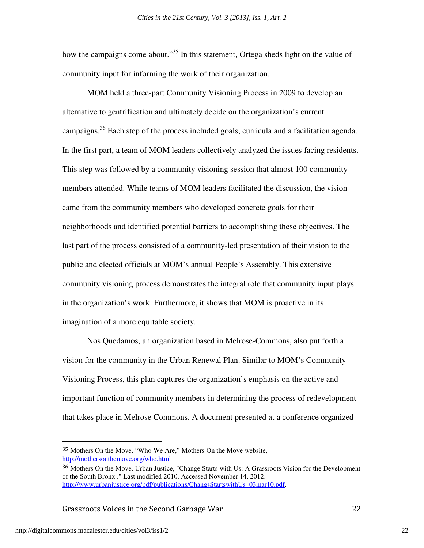how the campaigns come about."<sup>35</sup> In this statement, Ortega sheds light on the value of community input for informing the work of their organization.

MOM held a three-part Community Visioning Process in 2009 to develop an alternative to gentrification and ultimately decide on the organization's current campaigns.<sup>36</sup> Each step of the process included goals, curricula and a facilitation agenda. In the first part, a team of MOM leaders collectively analyzed the issues facing residents. This step was followed by a community visioning session that almost 100 community members attended. While teams of MOM leaders facilitated the discussion, the vision came from the community members who developed concrete goals for their neighborhoods and identified potential barriers to accomplishing these objectives. The last part of the process consisted of a community-led presentation of their vision to the public and elected officials at MOM's annual People's Assembly. This extensive community visioning process demonstrates the integral role that community input plays in the organization's work. Furthermore, it shows that MOM is proactive in its imagination of a more equitable society.

Nos Quedamos, an organization based in Melrose-Commons, also put forth a vision for the community in the Urban Renewal Plan. Similar to MOM's Community Visioning Process, this plan captures the organization's emphasis on the active and important function of community members in determining the process of redevelopment that takes place in Melrose Commons. A document presented at a conference organized

Grassroots Voices in the Second Garbage War 22

<sup>35</sup> Mothers On the Move, "Who We Are," Mothers On the Move website, http://mothersonthemove.org/who.html

<sup>36</sup> Mothers On the Move. Urban Justice, "Change Starts with Us: A Grassroots Vision for the Development of the South Bronx ." Last modified 2010. Accessed November 14, 2012. http://www.urbanjustice.org/pdf/publications/ChangsStartswithUs\_03mar10.pdf.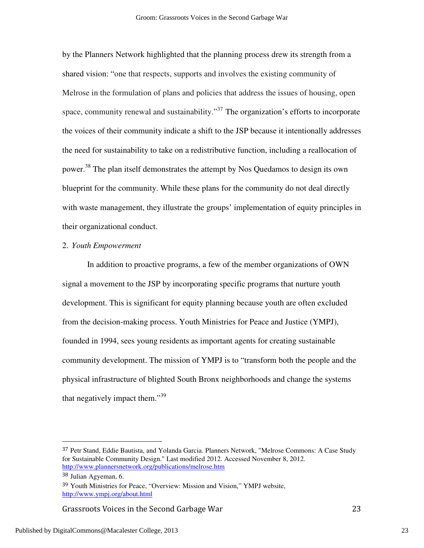by the Planners Network highlighted that the planning process drew its strength from a shared vision: "one that respects, supports and involves the existing community of Melrose in the formulation of plans and policies that address the issues of housing, open space, community renewal and sustainability. $\cdot^{37}$  The organization's efforts to incorporate the voices of their community indicate a shift to the JSP because it intentionally addresses the need for sustainability to take on a redistributive function, including a reallocation of power.<sup>38</sup> The plan itself demonstrates the attempt by Nos Quedamos to design its own blueprint for the community. While these plans for the community do not deal directly with waste management, they illustrate the groups' implementation of equity principles in their organizational conduct.

#### 2. *Youth Empowerment*

 In addition to proactive programs, a few of the member organizations of OWN signal a movement to the JSP by incorporating specific programs that nurture youth development. This is significant for equity planning because youth are often excluded from the decision-making process. Youth Ministries for Peace and Justice (YMPJ), founded in 1994, sees young residents as important agents for creating sustainable community development. The mission of YMPJ is to "transform both the people and the physical infrastructure of blighted South Bronx neighborhoods and change the systems that negatively impact them." $39$ 

-

Grassroots Voices in the Second Garbage War 23

<sup>&</sup>lt;sup>37</sup> Petr Stand, Eddie Bautista, and Yolanda Garcia. Planners Network, "Melrose Commons: A Case Study for Sustainable Community Design." Last modified 2012. Accessed November 8, 2012. http://www.plannersnetwork.org/publications/melrose.htm

<sup>38</sup> Julian Agyeman, 6.

<sup>39</sup> Youth Ministries for Peace, "Overview: Mission and Vision," YMPJ website, http://www.ympj.org/about.html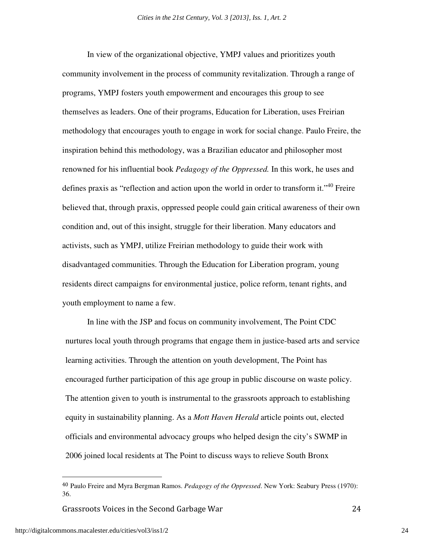In view of the organizational objective, YMPJ values and prioritizes youth community involvement in the process of community revitalization. Through a range of programs, YMPJ fosters youth empowerment and encourages this group to see themselves as leaders. One of their programs, Education for Liberation, uses Freirian methodology that encourages youth to engage in work for social change. Paulo Freire, the inspiration behind this methodology, was a Brazilian educator and philosopher most renowned for his influential book *Pedagogy of the Oppressed.* In this work, he uses and defines praxis as "reflection and action upon the world in order to transform it."<sup>40</sup> Freire believed that, through praxis, oppressed people could gain critical awareness of their own condition and, out of this insight, struggle for their liberation. Many educators and activists, such as YMPJ, utilize Freirian methodology to guide their work with disadvantaged communities. Through the Education for Liberation program, young residents direct campaigns for environmental justice, police reform, tenant rights, and youth employment to name a few.

In line with the JSP and focus on community involvement, The Point CDC nurtures local youth through programs that engage them in justice-based arts and service learning activities. Through the attention on youth development, The Point has encouraged further participation of this age group in public discourse on waste policy. The attention given to youth is instrumental to the grassroots approach to establishing equity in sustainability planning. As a *Mott Haven Herald* article points out, elected officials and environmental advocacy groups who helped design the city's SWMP in 2006 joined local residents at The Point to discuss ways to relieve South Bronx

Grassroots Voices in the Second Garbage War 24

<sup>40</sup> Paulo Freire and Myra Bergman Ramos. *Pedagogy of the Oppressed*. New York: Seabury Press (1970): 36.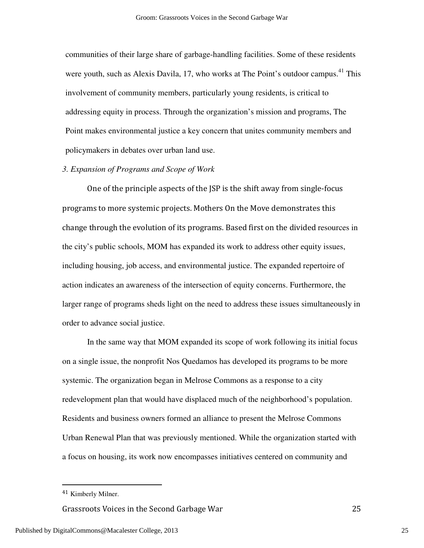communities of their large share of garbage-handling facilities. Some of these residents were youth, such as Alexis Davila, 17, who works at The Point's outdoor campus.<sup>41</sup> This involvement of community members, particularly young residents, is critical to addressing equity in process. Through the organization's mission and programs, The Point makes environmental justice a key concern that unites community members and policymakers in debates over urban land use.

# *3. Expansion of Programs and Scope of Work*

 One of the principle aspects of the JSP is the shift away from single-focus programs to more systemic projects. Mothers On the Move demonstrates this change through the evolution of its programs. Based first on the divided resources in the city's public schools, MOM has expanded its work to address other equity issues, including housing, job access, and environmental justice. The expanded repertoire of action indicates an awareness of the intersection of equity concerns. Furthermore, the larger range of programs sheds light on the need to address these issues simultaneously in order to advance social justice.

 In the same way that MOM expanded its scope of work following its initial focus on a single issue, the nonprofit Nos Quedamos has developed its programs to be more systemic. The organization began in Melrose Commons as a response to a city redevelopment plan that would have displaced much of the neighborhood's population. Residents and business owners formed an alliance to present the Melrose Commons Urban Renewal Plan that was previously mentioned. While the organization started with a focus on housing, its work now encompasses initiatives centered on community and

 $\overline{a}$ 

Grassroots Voices in the Second Garbage War 25

Published by DigitalCommons@Macalester College, 2013

<sup>41</sup> Kimberly Milner.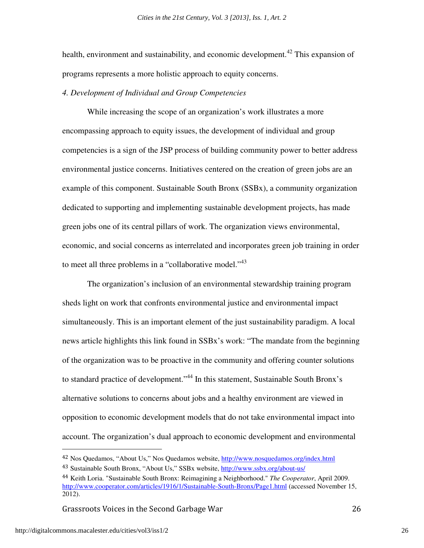health, environment and sustainability, and economic development.<sup>42</sup> This expansion of programs represents a more holistic approach to equity concerns.

# *4. Development of Individual and Group Competencies*

While increasing the scope of an organization's work illustrates a more encompassing approach to equity issues, the development of individual and group competencies is a sign of the JSP process of building community power to better address environmental justice concerns. Initiatives centered on the creation of green jobs are an example of this component. Sustainable South Bronx (SSBx), a community organization dedicated to supporting and implementing sustainable development projects, has made green jobs one of its central pillars of work. The organization views environmental, economic, and social concerns as interrelated and incorporates green job training in order to meet all three problems in a "collaborative model."<sup>43</sup>

The organization's inclusion of an environmental stewardship training program sheds light on work that confronts environmental justice and environmental impact simultaneously. This is an important element of the just sustainability paradigm. A local news article highlights this link found in SSBx's work: "The mandate from the beginning of the organization was to be proactive in the community and offering counter solutions to standard practice of development."<sup>44</sup> In this statement, Sustainable South Bronx's alternative solutions to concerns about jobs and a healthy environment are viewed in opposition to economic development models that do not take environmental impact into account. The organization's dual approach to economic development and environmental

Grassroots Voices in the Second Garbage War 26

<u>.</u>

<sup>42</sup> Nos Quedamos, "About Us," Nos Quedamos website, http://www.nosquedamos.org/index.html

<sup>43</sup> Sustainable South Bronx, "About Us," SSBx website, http://www.ssbx.org/about-us/

<sup>44</sup> Keith Loria. "Sustainable South Bronx: Reimagining a Neighborhood." *The Cooperator*, April 2009. http://www.cooperator.com/articles/1916/1/Sustainable-South-Bronx/Page1.html (accessed November 15, 2012).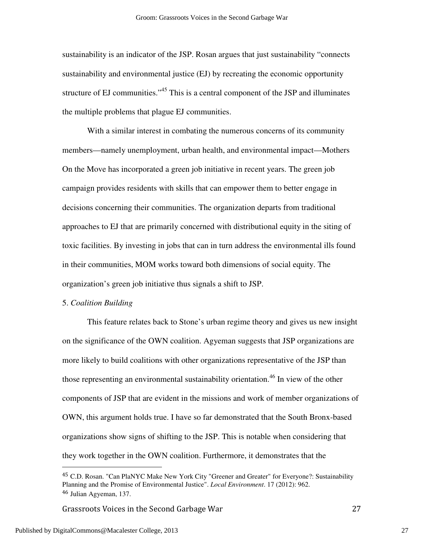sustainability is an indicator of the JSP. Rosan argues that just sustainability "connects sustainability and environmental justice (EJ) by recreating the economic opportunity structure of EJ communities.<sup>345</sup> This is a central component of the JSP and illuminates the multiple problems that plague EJ communities.

 With a similar interest in combating the numerous concerns of its community members—namely unemployment, urban health, and environmental impact—Mothers On the Move has incorporated a green job initiative in recent years. The green job campaign provides residents with skills that can empower them to better engage in decisions concerning their communities. The organization departs from traditional approaches to EJ that are primarily concerned with distributional equity in the siting of toxic facilities. By investing in jobs that can in turn address the environmental ills found in their communities, MOM works toward both dimensions of social equity. The organization's green job initiative thus signals a shift to JSP.

#### 5. *Coalition Building*

 This feature relates back to Stone's urban regime theory and gives us new insight on the significance of the OWN coalition. Agyeman suggests that JSP organizations are more likely to build coalitions with other organizations representative of the JSP than those representing an environmental sustainability orientation.<sup>46</sup> In view of the other components of JSP that are evident in the missions and work of member organizations of OWN, this argument holds true. I have so far demonstrated that the South Bronx-based organizations show signs of shifting to the JSP. This is notable when considering that they work together in the OWN coalition. Furthermore, it demonstrates that the

Grassroots Voices in the Second Garbage War 27

<sup>45</sup> C.D. Rosan. "Can PlaNYC Make New York City "Greener and Greater" for Everyone?: Sustainability Planning and the Promise of Environmental Justice". *Local Environment*. 17 (2012): 962. <sup>46</sup> Julian Agyeman, 137.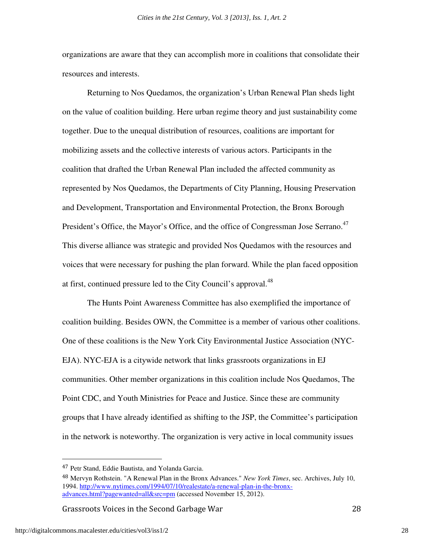organizations are aware that they can accomplish more in coalitions that consolidate their resources and interests.

 Returning to Nos Quedamos, the organization's Urban Renewal Plan sheds light on the value of coalition building. Here urban regime theory and just sustainability come together. Due to the unequal distribution of resources, coalitions are important for mobilizing assets and the collective interests of various actors. Participants in the coalition that drafted the Urban Renewal Plan included the affected community as represented by Nos Quedamos, the Departments of City Planning, Housing Preservation and Development, Transportation and Environmental Protection, the Bronx Borough President's Office, the Mayor's Office, and the office of Congressman Jose Serrano.<sup>47</sup> This diverse alliance was strategic and provided Nos Quedamos with the resources and voices that were necessary for pushing the plan forward. While the plan faced opposition at first, continued pressure led to the City Council's approval.<sup>48</sup>

The Hunts Point Awareness Committee has also exemplified the importance of coalition building. Besides OWN, the Committee is a member of various other coalitions. One of these coalitions is the New York City Environmental Justice Association (NYC-EJA). NYC-EJA is a citywide network that links grassroots organizations in EJ communities. Other member organizations in this coalition include Nos Quedamos, The Point CDC, and Youth Ministries for Peace and Justice. Since these are community groups that I have already identified as shifting to the JSP, the Committee's participation in the network is noteworthy. The organization is very active in local community issues

Grassroots Voices in the Second Garbage War 28

-

<sup>47</sup> Petr Stand, Eddie Bautista, and Yolanda Garcia.

<sup>48</sup> Mervyn Rothstein. "A Renewal Plan in the Bronx Advances." *New York Times*, sec. Archives, July 10, 1994. http://www.nytimes.com/1994/07/10/realestate/a-renewal-plan-in-the-bronxadvances.html?pagewanted=all&src=pm (accessed November 15, 2012).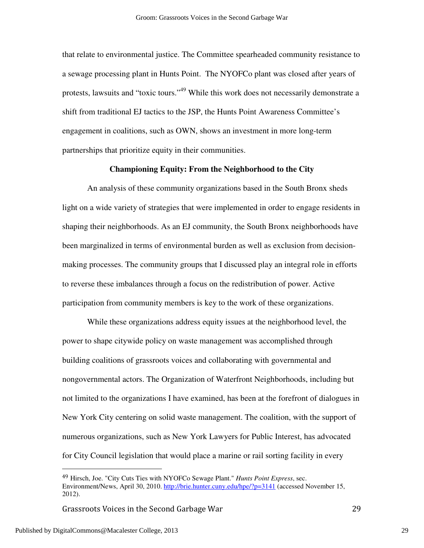that relate to environmental justice. The Committee spearheaded community resistance to a sewage processing plant in Hunts Point. The NYOFCo plant was closed after years of protests, lawsuits and "toxic tours."<sup>49</sup> While this work does not necessarily demonstrate a shift from traditional EJ tactics to the JSP, the Hunts Point Awareness Committee's engagement in coalitions, such as OWN, shows an investment in more long-term partnerships that prioritize equity in their communities.

#### **Championing Equity: From the Neighborhood to the City**

An analysis of these community organizations based in the South Bronx sheds light on a wide variety of strategies that were implemented in order to engage residents in shaping their neighborhoods. As an EJ community, the South Bronx neighborhoods have been marginalized in terms of environmental burden as well as exclusion from decisionmaking processes. The community groups that I discussed play an integral role in efforts to reverse these imbalances through a focus on the redistribution of power. Active participation from community members is key to the work of these organizations.

 While these organizations address equity issues at the neighborhood level, the power to shape citywide policy on waste management was accomplished through building coalitions of grassroots voices and collaborating with governmental and nongovernmental actors. The Organization of Waterfront Neighborhoods, including but not limited to the organizations I have examined, has been at the forefront of dialogues in New York City centering on solid waste management. The coalition, with the support of numerous organizations, such as New York Lawyers for Public Interest, has advocated for City Council legislation that would place a marine or rail sorting facility in every

Grassroots Voices in the Second Garbage War 29

<sup>49</sup> Hirsch, Joe. "City Cuts Ties with NYOFCo Sewage Plant." *Hunts Point Express*, sec. Environment/News, April 30, 2010. http://brie.hunter.cuny.edu/hpe/?p=3141 (accessed November 15, 2012).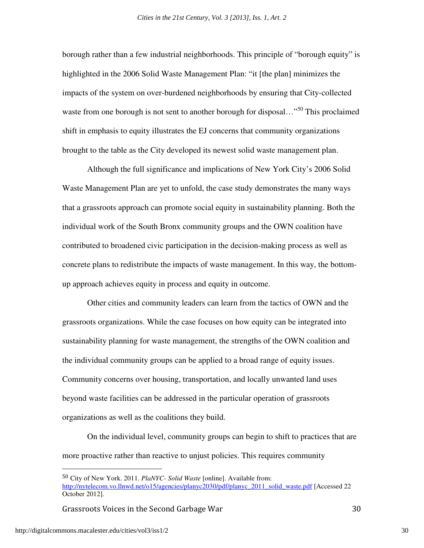borough rather than a few industrial neighborhoods. This principle of "borough equity" is highlighted in the 2006 Solid Waste Management Plan: "it [the plan] minimizes the impacts of the system on over-burdened neighborhoods by ensuring that City-collected waste from one borough is not sent to another borough for disposal..."<sup>50</sup> This proclaimed shift in emphasis to equity illustrates the EJ concerns that community organizations brought to the table as the City developed its newest solid waste management plan.

 Although the full significance and implications of New York City's 2006 Solid Waste Management Plan are yet to unfold, the case study demonstrates the many ways that a grassroots approach can promote social equity in sustainability planning. Both the individual work of the South Bronx community groups and the OWN coalition have contributed to broadened civic participation in the decision-making process as well as concrete plans to redistribute the impacts of waste management. In this way, the bottomup approach achieves equity in process and equity in outcome.

Other cities and community leaders can learn from the tactics of OWN and the grassroots organizations. While the case focuses on how equity can be integrated into sustainability planning for waste management, the strengths of the OWN coalition and the individual community groups can be applied to a broad range of equity issues. Community concerns over housing, transportation, and locally unwanted land uses beyond waste facilities can be addressed in the particular operation of grassroots organizations as well as the coalitions they build.

On the individual level, community groups can begin to shift to practices that are more proactive rather than reactive to unjust policies. This requires community

Grassroots Voices in the Second Garbage War 30

<sup>50</sup> City of New York. 2011. *PlaNYC- Solid Waste* [online]. Available from: http://nytelecom.vo.llnwd.net/o15/agencies/planyc2030/pdf/planyc\_2011\_solid\_waste.pdf [Accessed 22 October 2012].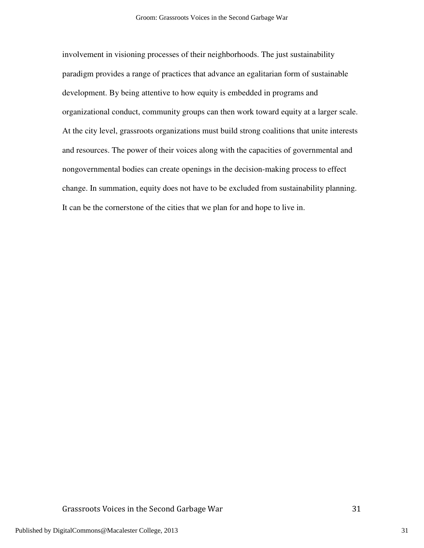involvement in visioning processes of their neighborhoods. The just sustainability paradigm provides a range of practices that advance an egalitarian form of sustainable development. By being attentive to how equity is embedded in programs and organizational conduct, community groups can then work toward equity at a larger scale. At the city level, grassroots organizations must build strong coalitions that unite interests and resources. The power of their voices along with the capacities of governmental and nongovernmental bodies can create openings in the decision-making process to effect change. In summation, equity does not have to be excluded from sustainability planning. It can be the cornerstone of the cities that we plan for and hope to live in.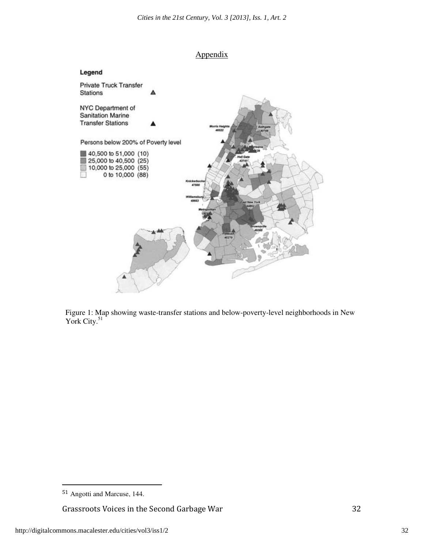

Figure 1: Map showing waste-transfer stations and below-poverty-level neighborhoods in New York City.<sup>51</sup>

Grassroots Voices in the Second Garbage War 32

 $\ddot{\phantom{a}}$ 

<sup>51</sup> Angotti and Marcuse, 144.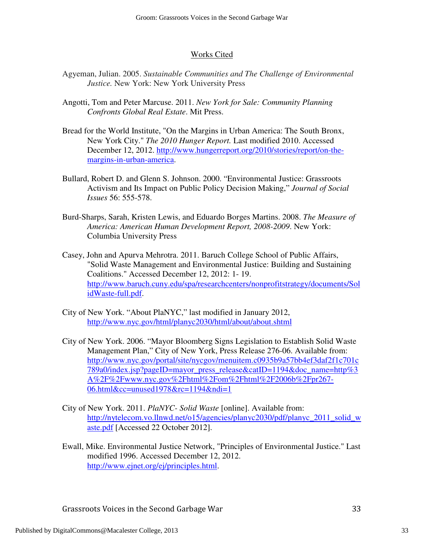# Works Cited

- Agyeman, Julian. 2005. *Sustainable Communities and The Challenge of Environmental Justice.* New York: New York University Press
- Angotti, Tom and Peter Marcuse. 2011. *New York for Sale: Community Planning Confronts Global Real Estate*. Mit Press.
- Bread for the World Institute, "On the Margins in Urban America: The South Bronx, New York City." *The 2010 Hunger Report.* Last modified 2010. Accessed December 12, 2012. http://www.hungerreport.org/2010/stories/report/on-themargins-in-urban-america.
- Bullard, Robert D. and Glenn S. Johnson. 2000. "Environmental Justice: Grassroots Activism and Its Impact on Public Policy Decision Making," *Journal of Social Issues* 56: 555-578.
- Burd-Sharps, Sarah, Kristen Lewis, and Eduardo Borges Martins. 2008. *The Measure of America: American Human Development Report, 2008-2009*. New York: Columbia University Press
- Casey, John and Apurva Mehrotra. 2011. Baruch College School of Public Affairs, "Solid Waste Management and Environmental Justice: Building and Sustaining Coalitions." Accessed December 12, 2012: 1- 19. http://www.baruch.cuny.edu/spa/researchcenters/nonprofitstrategy/documents/Sol idWaste-full.pdf.
- City of New York. "About PlaNYC," last modified in January 2012, http://www.nyc.gov/html/planyc2030/html/about/about.shtml
- City of New York. 2006. "Mayor Bloomberg Signs Legislation to Establish Solid Waste Management Plan," City of New York, Press Release 276-06. Available from: http://www.nyc.gov/portal/site/nycgov/menuitem.c0935b9a57bb4ef3daf2f1c701c 789a0/index.jsp?pageID=mayor\_press\_release&catID=1194&doc\_name=http%3 A%2F%2Fwww.nyc.gov%2Fhtml%2Fom%2Fhtml%2F2006b%2Fpr267- 06.html&cc=unused1978&rc=1194&ndi=1
- City of New York. 2011. *PlaNYC- Solid Waste* [online]. Available from: http://nytelecom.vo.llnwd.net/o15/agencies/planyc2030/pdf/planyc\_2011\_solid\_w aste.pdf [Accessed 22 October 2012].
- Ewall, Mike. Environmental Justice Network, "Principles of Environmental Justice." Last modified 1996. Accessed December 12, 2012. http://www.ejnet.org/ej/principles.html.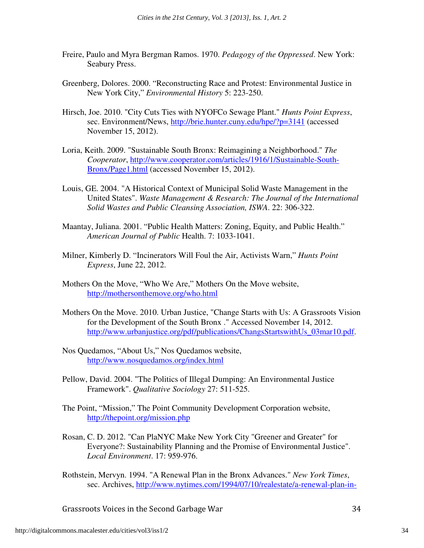- Freire, Paulo and Myra Bergman Ramos. 1970. *Pedagogy of the Oppressed*. New York: Seabury Press.
- Greenberg, Dolores. 2000. "Reconstructing Race and Protest: Environmental Justice in New York City," *Environmental History* 5: 223-250.
- Hirsch, Joe. 2010. "City Cuts Ties with NYOFCo Sewage Plant." *Hunts Point Express*, sec. Environment/News, http://brie.hunter.cuny.edu/hpe/?p=3141 (accessed November 15, 2012).
- Loria, Keith. 2009. "Sustainable South Bronx: Reimagining a Neighborhood." *The Cooperator*, http://www.cooperator.com/articles/1916/1/Sustainable-South-Bronx/Page1.html (accessed November 15, 2012).
- Louis, GE. 2004. "A Historical Context of Municipal Solid Waste Management in the United States". *Waste Management & Research: The Journal of the International Solid Wastes and Public Cleansing Association, ISWA*. 22: 306-322.
- Maantay, Juliana. 2001. "Public Health Matters: Zoning, Equity, and Public Health." *American Journal of Public* Health. 7: 1033-1041.
- Milner, Kimberly D. "Incinerators Will Foul the Air, Activists Warn," *Hunts Point Express*, June 22, 2012.
- Mothers On the Move, "Who We Are," Mothers On the Move website, http://mothersonthemove.org/who.html
- Mothers On the Move. 2010. Urban Justice, "Change Starts with Us: A Grassroots Vision for the Development of the South Bronx ." Accessed November 14, 2012. http://www.urbanjustice.org/pdf/publications/ChangsStartswithUs\_03mar10.pdf.
- Nos Quedamos, "About Us," Nos Quedamos website, http://www.nosquedamos.org/index.html
- Pellow, David. 2004. "The Politics of Illegal Dumping: An Environmental Justice Framework". *Qualitative Sociology* 27: 511-525.
- The Point, "Mission," The Point Community Development Corporation website, http://thepoint.org/mission.php
- Rosan, C. D. 2012. "Can PlaNYC Make New York City "Greener and Greater" for Everyone?: Sustainability Planning and the Promise of Environmental Justice". *Local Environment*. 17: 959-976.
- Rothstein, Mervyn. 1994. "A Renewal Plan in the Bronx Advances." *New York Times*, sec. Archives, http://www.nytimes.com/1994/07/10/realestate/a-renewal-plan-in-

Grassroots Voices in the Second Garbage War 34